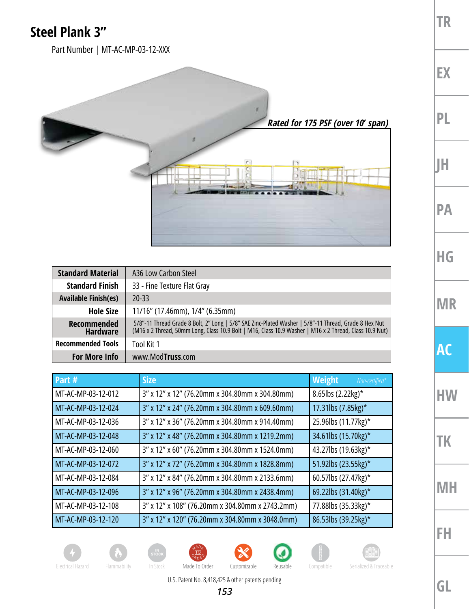## **Steel Plank 3"**

Part Number | MT-AC-MP-03-12-XXX



| <b>Standard Material</b>              | A36 Low Carbon Steel                                                                                                                                                                                           |  |
|---------------------------------------|----------------------------------------------------------------------------------------------------------------------------------------------------------------------------------------------------------------|--|
| <b>Standard Finish</b>                | 33 - Fine Texture Flat Gray                                                                                                                                                                                    |  |
| <b>Available Finish(es)</b>           | 20-33                                                                                                                                                                                                          |  |
| <b>Hole Size</b>                      | 11/16" (17.46mm), 1/4" (6.35mm)                                                                                                                                                                                |  |
| <b>Recommended</b><br><b>Hardware</b> | 5/8"-11 Thread Grade 8 Bolt, 2" Long   5/8" SAE Zinc-Plated Washer   5/8"-11 Thread, Grade 8 Hex Nut<br>(M16 x 2 Thread, 50mm Long, Class 10.9 Bolt   M16, Class 10.9 Washer   M16 x 2 Thread, Class 10.9 Nut) |  |
| <b>Recommended Tools</b>              | Tool Kit 1                                                                                                                                                                                                     |  |
| <b>For More Info</b>                  | www.ModTruss.com                                                                                                                                                                                               |  |

| Part #             | <b>Size</b>                                     | Weight<br>Non-certified* |
|--------------------|-------------------------------------------------|--------------------------|
| MT-AC-MP-03-12-012 | 3" x 12" x 12" (76.20mm x 304.80mm x 304.80mm)  | 8.65lbs $(2.22kg)^*$     |
| MT-AC-MP-03-12-024 | 3" x 12" x 24" (76.20mm x 304.80mm x 609.60mm)  | 17.31lbs (7.85kg)*       |
| MT-AC-MP-03-12-036 | 3" x 12" x 36" (76.20mm x 304.80mm x 914.40mm)  | 25.96lbs (11.77kg)*      |
| MT-AC-MP-03-12-048 | 3" x 12" x 48" (76.20mm x 304.80mm x 1219.2mm)  | 34.61lbs (15.70kg)*      |
| MT-AC-MP-03-12-060 | 3" x 12" x 60" (76.20mm x 304.80mm x 1524.0mm)  | 43.27lbs (19.63kg)*      |
| MT-AC-MP-03-12-072 | 3" x 12" x 72" (76.20mm x 304.80mm x 1828.8mm)  | 51.92lbs (23.55kg)*      |
| MT-AC-MP-03-12-084 | 3" x 12" x 84" (76.20mm x 304.80mm x 2133.6mm)  | 60.57lbs (27.47kg)*      |
| MT-AC-MP-03-12-096 | 3" x 12" x 96" (76.20mm x 304.80mm x 2438.4mm)  | 69.22lbs (31.40kg)*      |
| MT-AC-MP-03-12-108 | 3" x 12" x 108" (76.20mm x 304.80mm x 2743.2mm) | 77.88lbs (35.33kg)*      |
| MT-AC-MP-03-12-120 | 3" x 12" x 120" (76.20mm x 304.80mm x 3048.0mm) | 86.53lbs (39.25kg)*      |











**TR**

**EX**

**PL**

**JH**

**PA**

**HG**

**MR**

**AC**

**HW**

**TK**

**MH**

**FH**

U.S. Patent No. 8,418,425 & other patents pending